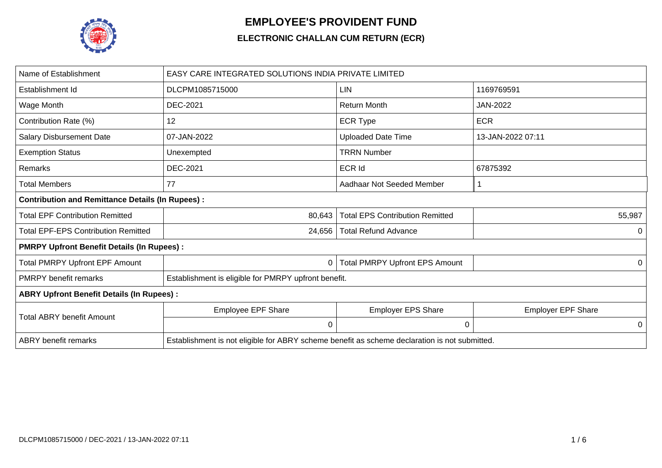

## **EMPLOYEE'S PROVIDENT FUND**

## **ELECTRONIC CHALLAN CUM RETURN (ECR)**

| Name of Establishment                                   | <b>EASY CARE INTEGRATED SOLUTIONS INDIA PRIVATE LIMITED</b>                                   |                                        |                           |  |  |  |  |  |  |  |  |
|---------------------------------------------------------|-----------------------------------------------------------------------------------------------|----------------------------------------|---------------------------|--|--|--|--|--|--|--|--|
| Establishment Id                                        | DLCPM1085715000                                                                               | <b>LIN</b>                             | 1169769591                |  |  |  |  |  |  |  |  |
| Wage Month                                              | <b>DEC-2021</b>                                                                               | <b>Return Month</b>                    | <b>JAN-2022</b>           |  |  |  |  |  |  |  |  |
| Contribution Rate (%)                                   | 12                                                                                            | <b>ECR Type</b>                        | <b>ECR</b>                |  |  |  |  |  |  |  |  |
| Salary Disbursement Date                                | 07-JAN-2022                                                                                   | <b>Uploaded Date Time</b>              | 13-JAN-2022 07:11         |  |  |  |  |  |  |  |  |
| <b>Exemption Status</b>                                 | Unexempted                                                                                    | <b>TRRN Number</b>                     |                           |  |  |  |  |  |  |  |  |
| Remarks                                                 | DEC-2021                                                                                      | ECR Id                                 | 67875392                  |  |  |  |  |  |  |  |  |
| <b>Total Members</b>                                    | 77                                                                                            | Aadhaar Not Seeded Member              |                           |  |  |  |  |  |  |  |  |
| <b>Contribution and Remittance Details (In Rupees):</b> |                                                                                               |                                        |                           |  |  |  |  |  |  |  |  |
| <b>Total EPF Contribution Remitted</b>                  | 80,643                                                                                        | <b>Total EPS Contribution Remitted</b> | 55,987                    |  |  |  |  |  |  |  |  |
| <b>Total EPF-EPS Contribution Remitted</b>              | 24,656                                                                                        | <b>Total Refund Advance</b>            | 0                         |  |  |  |  |  |  |  |  |
| <b>PMRPY Upfront Benefit Details (In Rupees):</b>       |                                                                                               |                                        |                           |  |  |  |  |  |  |  |  |
| <b>Total PMRPY Upfront EPF Amount</b>                   | 0                                                                                             | <b>Total PMRPY Upfront EPS Amount</b>  | 0                         |  |  |  |  |  |  |  |  |
| <b>PMRPY</b> benefit remarks                            | Establishment is eligible for PMRPY upfront benefit.                                          |                                        |                           |  |  |  |  |  |  |  |  |
| <b>ABRY Upfront Benefit Details (In Rupees):</b>        |                                                                                               |                                        |                           |  |  |  |  |  |  |  |  |
| <b>Total ABRY benefit Amount</b>                        | <b>Employee EPF Share</b>                                                                     | <b>Employer EPS Share</b>              | <b>Employer EPF Share</b> |  |  |  |  |  |  |  |  |
|                                                         | 0                                                                                             | 0                                      | 0                         |  |  |  |  |  |  |  |  |
| <b>ABRY</b> benefit remarks                             | Establishment is not eligible for ABRY scheme benefit as scheme declaration is not submitted. |                                        |                           |  |  |  |  |  |  |  |  |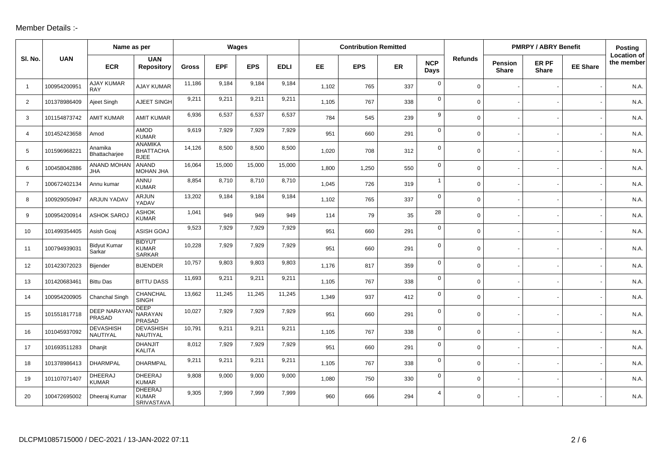## Member Details :-

|                |              | Name as per                     |                                                   | Wages        |            |            |             | <b>Contribution Remitted</b> |            |     |                    |                |                                | <b>PMRPY / ABRY Benefit</b> |                 |                                  |  |
|----------------|--------------|---------------------------------|---------------------------------------------------|--------------|------------|------------|-------------|------------------------------|------------|-----|--------------------|----------------|--------------------------------|-----------------------------|-----------------|----------------------------------|--|
| SI. No.        | <b>UAN</b>   | <b>ECR</b>                      | <b>UAN</b><br><b>Repository</b>                   | <b>Gross</b> | <b>EPF</b> | <b>EPS</b> | <b>EDLI</b> | EE.                          | <b>EPS</b> | ER  | <b>NCP</b><br>Days | <b>Refunds</b> | <b>Pension</b><br><b>Share</b> | ER PF<br><b>Share</b>       | <b>EE Share</b> | <b>Location of</b><br>the member |  |
| $\overline{1}$ | 100954200951 | <b>AJAY KUMAR</b><br><b>RAY</b> | <b>AJAY KUMAR</b>                                 | 11,186       | 9,184      | 9,184      | 9,184       | 1,102                        | 765        | 337 | $\mathbf 0$        | $\mathbf 0$    |                                |                             |                 | N.A.                             |  |
| $\overline{2}$ | 101378986409 | Ajeet Singh                     | AJEET SINGH                                       | 9,211        | 9,211      | 9,211      | 9,211       | 1,105                        | 767        | 338 | $\mathbf 0$        | $\mathbf 0$    |                                |                             |                 | N.A.                             |  |
| 3              | 101154873742 | <b>AMIT KUMAR</b>               | <b>AMIT KUMAR</b>                                 | 6,936        | 6,537      | 6,537      | 6,537       | 784                          | 545        | 239 | 9                  | $\mathbf 0$    |                                |                             |                 | N.A.                             |  |
| 4              | 101452423658 | Amod                            | <b>AMOD</b><br><b>KUMAR</b>                       | 9,619        | 7,929      | 7,929      | 7,929       | 951                          | 660        | 291 | $\mathbf 0$        | $\mathbf 0$    |                                |                             |                 | N.A.                             |  |
| 5              | 101596968221 | Anamika<br>Bhattacharjee        | <b>ANAMIKA</b><br><b>BHATTACHA</b><br><b>RJEE</b> | 14,126       | 8,500      | 8,500      | 8,500       | 1,020                        | 708        | 312 | $\mathbf 0$        | $\mathbf 0$    |                                |                             |                 | N.A.                             |  |
| 6              | 100458042886 | <b>ANAND MOHAN</b><br>JHA       | <b>ANAND</b><br>MOHAN JHA                         | 16,064       | 15,000     | 15,000     | 15,000      | 1,800                        | 1,250      | 550 | $\mathbf 0$        | $\mathsf{O}$   |                                |                             |                 | N.A.                             |  |
| $\overline{7}$ | 100672402134 | Annu kumar                      | ANNU<br><b>KUMAR</b>                              | 8,854        | 8,710      | 8,710      | 8,710       | 1,045                        | 726        | 319 | $\mathbf{1}$       | $\mathbf 0$    |                                |                             |                 | N.A.                             |  |
| 8              | 100929050947 | ARJUN YADAV                     | <b>ARJUN</b><br>YADAV                             | 13,202       | 9,184      | 9,184      | 9,184       | 1,102                        | 765        | 337 | $\mathbf 0$        | $\mathbf 0$    |                                |                             |                 | N.A.                             |  |
| 9              | 100954200914 | <b>ASHOK SARO.</b>              | <b>ASHOK</b><br><b>KUMAR</b>                      | 1,041        | 949        | 949        | 949         | 114                          | 79         | 35  | 28                 | $\mathbf 0$    |                                |                             |                 | N.A.                             |  |
| 10             | 101499354405 | Asish Goaj                      | ASISH GOAJ                                        | 9,523        | 7,929      | 7,929      | 7,929       | 951                          | 660        | 291 | $\mathbf 0$        | $\mathsf{O}$   |                                |                             |                 | N.A.                             |  |
| 11             | 100794939031 | <b>Bidyut Kumar</b><br>Sarkar   | <b>BIDYUT</b><br><b>KUMAR</b><br><b>SARKAR</b>    | 10,228       | 7,929      | 7,929      | 7,929       | 951                          | 660        | 291 | $\mathbf 0$        | $\mathbf 0$    |                                |                             |                 | N.A.                             |  |
| 12             | 101423072023 | Bijender                        | <b>BIJENDER</b>                                   | 10,757       | 9,803      | 9,803      | 9,803       | 1,176                        | 817        | 359 | $\mathbf 0$        | $\mathbf 0$    |                                |                             |                 | N.A.                             |  |
| 13             | 101420683461 | <b>Bittu Das</b>                | <b>BITTU DASS</b>                                 | 11,693       | 9,211      | 9,211      | 9,211       | 1,105                        | 767        | 338 | $\mathbf 0$        | $\mathsf{O}$   |                                |                             |                 | N.A.                             |  |
| 14             | 100954200905 | Chanchal Singh                  | CHANCHAL<br><b>SINGH</b>                          | 13,662       | 11,245     | 11,245     | 11,245      | 1,349                        | 937        | 412 | $\mathbf 0$        | $\mathbf 0$    |                                |                             |                 | N.A.                             |  |
| 15             | 101551817718 | <b>DEEP NARAYA</b><br>PRASAD    | <b>DEEP</b><br>NARAYAN<br>PRASAD                  | 10,027       | 7,929      | 7,929      | 7,929       | 951                          | 660        | 291 | $\mathbf 0$        | $\mathsf{O}$   |                                |                             |                 | N.A.                             |  |
| 16             | 101045937092 | <b>DEVASHISH</b><br>NAUTIYAL    | <b>DEVASHISH</b><br>NAUTIYAL                      | 10,791       | 9,211      | 9,211      | 9,211       | 1,105                        | 767        | 338 | $\mathbf 0$        | $\mathbf 0$    |                                |                             |                 | N.A.                             |  |
| 17             | 101693511283 | Dhanjit                         | <b>DHANJIT</b><br><b>KALITA</b>                   | 8,012        | 7,929      | 7,929      | 7,929       | 951                          | 660        | 291 | $\mathbf 0$        | $\mathsf{O}$   |                                |                             |                 | N.A.                             |  |
| 18             | 101378986413 | <b>DHARMPAL</b>                 | <b>DHARMPAL</b>                                   | 9,211        | 9,211      | 9,211      | 9,211       | 1,105                        | 767        | 338 | $\mathbf 0$        | $\mathbf 0$    |                                |                             |                 | N.A.                             |  |
| 19             | 101107071407 | DHEERAJ<br><b>KUMAR</b>         | DHEERAJ<br><b>KUMAR</b>                           | 9,808        | 9,000      | 9,000      | 9,000       | 1,080                        | 750        | 330 | $\mathbf 0$        | $\mathbf 0$    |                                |                             |                 | N.A.                             |  |
| 20             | 100472695002 | Dheeraj Kumar                   | <b>DHEERAJ</b><br><b>KUMAR</b><br>SRIVASTAVA      | 9,305        | 7,999      | 7,999      | 7,999       | 960                          | 666        | 294 | $\overline{4}$     | $\mathbf 0$    |                                |                             |                 | N.A.                             |  |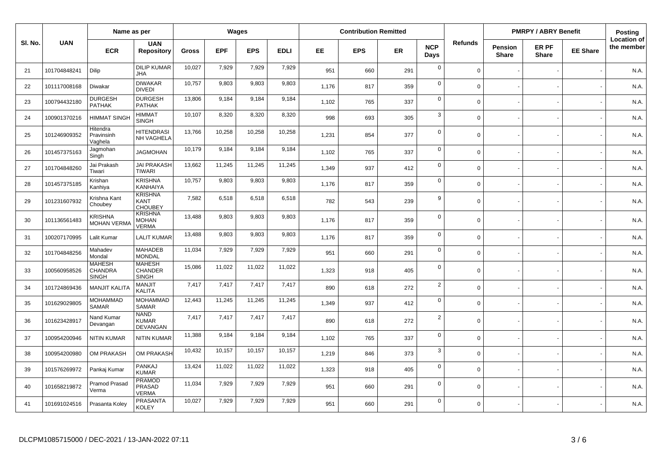|         |              | Name as per                                     |                                                 |              | Wages      |            |             | <b>Contribution Remitted</b> |            |           |                    |                |                         | <b>PMRPY / ABRY Benefit</b> |                 | Posting                          |
|---------|--------------|-------------------------------------------------|-------------------------------------------------|--------------|------------|------------|-------------|------------------------------|------------|-----------|--------------------|----------------|-------------------------|-----------------------------|-----------------|----------------------------------|
| SI. No. | <b>UAN</b>   | <b>ECR</b>                                      | <b>UAN</b><br><b>Repository</b>                 | <b>Gross</b> | <b>EPF</b> | <b>EPS</b> | <b>EDLI</b> | EE.                          | <b>EPS</b> | <b>ER</b> | <b>NCP</b><br>Days | <b>Refunds</b> | Pension<br><b>Share</b> | ER PF<br><b>Share</b>       | <b>EE Share</b> | <b>Location of</b><br>the member |
| 21      | 101704848241 | Dilip                                           | <b>DILIP KUMAR</b><br><b>JHA</b>                | 10,027       | 7,929      | 7,929      | 7,929       | 951                          | 660        | 291       | $\mathsf 0$        | $\mathbf 0$    |                         |                             |                 | N.A.                             |
| 22      | 101117008168 | Diwakar                                         | <b>DIWAKAR</b><br><b>DIVEDI</b>                 | 10,757       | 9,803      | 9,803      | 9,803       | 1,176                        | 817        | 359       | $\mathbf 0$        | $\Omega$       |                         |                             |                 | N.A.                             |
| 23      | 100794432180 | <b>DURGESH</b><br><b>PATHAK</b>                 | <b>DURGESH</b><br><b>PATHAK</b>                 | 13,806       | 9,184      | 9,184      | 9,184       | 1,102                        | 765        | 337       | $\mathsf 0$        | $\Omega$       |                         |                             |                 | N.A.                             |
| 24      | 100901370216 | <b>HIMMAT SINGH</b>                             | <b>HIMMAT</b><br><b>SINGH</b>                   | 10,107       | 8,320      | 8,320      | 8,320       | 998                          | 693        | 305       | $\mathbf{3}$       | $\Omega$       |                         |                             |                 | N.A.                             |
| 25      | 101246909352 | Hitendra<br>Pravinsinh<br>Vaghela               | <b>HITENDRASI</b><br>NH VAGHELA                 | 13,766       | 10,258     | 10,258     | 10,258      | 1,231                        | 854        | 377       | $\mathbf 0$        | $\mathbf 0$    |                         |                             |                 | N.A.                             |
| 26      | 101457375163 | Jagmohan<br>Singh                               | <b>JAGMOHAN</b>                                 | 10,179       | 9,184      | 9,184      | 9,184       | 1,102                        | 765        | 337       | $\mathbf 0$        | $\mathbf 0$    |                         |                             |                 | N.A.                             |
| 27      | 101704848260 | Jai Prakash<br>Tiwari                           | <b>JAI PRAKASH</b><br><b>TIWARI</b>             | 13,662       | 11,245     | 11,245     | 11,245      | 1,349                        | 937        | 412       | $\mathbf 0$        | $\mathbf 0$    |                         |                             |                 | N.A.                             |
| 28      | 101457375185 | Krishan<br>Kanhiya                              | <b>KRISHNA</b><br><b>KANHAIYA</b>               | 10,757       | 9,803      | 9,803      | 9,803       | 1,176                        | 817        | 359       | $\mathbf 0$        | $\Omega$       |                         |                             |                 | N.A.                             |
| 29      | 101231607932 | Krishna Kant<br>Choubey                         | <b>KRISHNA</b><br><b>KANT</b><br><b>CHOUBEY</b> | 7,582        | 6,518      | 6,518      | 6,518       | 782                          | 543        | 239       | 9                  | $\Omega$       |                         |                             |                 | N.A.                             |
| 30      | 101136561483 | <b>KRISHNA</b><br><b>MOHAN VERMA</b>            | <b>KRISHNA</b><br><b>MOHAN</b><br><b>VERMA</b>  | 13,488       | 9,803      | 9,803      | 9,803       | 1,176                        | 817        | 359       | $\mathsf 0$        | $\mathbf 0$    |                         |                             |                 | N.A.                             |
| 31      | 100207170995 | Lalit Kumar                                     | <b>LALIT KUMAR</b>                              | 13,488       | 9,803      | 9,803      | 9,803       | 1,176                        | 817        | 359       | $\mathsf 0$        | $\Omega$       |                         |                             |                 | N.A.                             |
| 32      | 101704848256 | Mahadev<br>Mondal                               | <b>MAHADEB</b><br><b>MONDAL</b>                 | 11,034       | 7,929      | 7,929      | 7,929       | 951                          | 660        | 291       | $\mathsf 0$        | $\Omega$       |                         |                             |                 | N.A.                             |
| 33      | 100560958526 | <b>MAHESH</b><br><b>CHANDRA</b><br><b>SINGH</b> | <b>MAHESH</b><br>CHANDER<br><b>SINGH</b>        | 15,086       | 11,022     | 11,022     | 11,022      | 1,323                        | 918        | 405       | $\mathbf 0$        | $\Omega$       |                         |                             |                 | N.A.                             |
| 34      | 101724869436 | MANJIT KALITA                                   | <b>MANJIT</b><br><b>KALITA</b>                  | 7,417        | 7,417      | 7,417      | 7,417       | 890                          | 618        | 272       | $\overline{2}$     | $\mathbf 0$    |                         |                             |                 | N.A.                             |
| 35      | 101629029805 | <b>MOHAMMAD</b><br><b>SAMAR</b>                 | <b>MOHAMMAD</b><br><b>SAMAR</b>                 | 12,443       | 11,245     | 11,245     | 11,245      | 1,349                        | 937        | 412       | $\mathsf 0$        | $\mathbf 0$    |                         |                             |                 | N.A.                             |
| 36      | 101623428917 | Nand Kumar<br>Devangan                          | <b>NAND</b><br><b>KUMAR</b><br><b>DEVANGAN</b>  | 7,417        | 7,417      | 7,417      | 7,417       | 890                          | 618        | 272       | $\overline{2}$     | $\Omega$       |                         |                             |                 | N.A.                             |
| 37      | 100954200946 | <b>NITIN KUMAR</b>                              | <b>NITIN KUMAR</b>                              | 11,388       | 9,184      | 9,184      | 9,184       | 1,102                        | 765        | 337       | $\mathbf 0$        | $\Omega$       |                         |                             |                 | N.A.                             |
| 38      | 100954200980 | OM PRAKASH                                      | OM PRAKASH                                      | 10,432       | 10,157     | 10,157     | 10,157      | 1,219                        | 846        | 373       | 3                  | $\mathbf 0$    |                         |                             |                 | N.A.                             |
| 39      | 101576269972 | Pankaj Kumar                                    | PANKAJ<br><b>KUMAR</b>                          | 13,424       | 11,022     | 11,022     | 11,022      | 1,323                        | 918        | 405       | $\mathbf 0$        | $\Omega$       |                         |                             |                 | N.A.                             |
| 40      | 101658219872 | Pramod Prasad<br>Verma                          | <b>PRAMOD</b><br>PRASAD<br><b>VERMA</b>         | 11,034       | 7,929      | 7,929      | 7,929       | 951                          | 660        | 291       | $\mathbf 0$        | $\mathbf 0$    |                         |                             |                 | N.A.                             |
| 41      | 101691024516 | Prasanta Koley                                  | <b>PRASANTA</b><br><b>KOLEY</b>                 | 10,027       | 7,929      | 7,929      | 7,929       | 951                          | 660        | 291       | $\mathbf 0$        | $\Omega$       |                         |                             |                 | N.A.                             |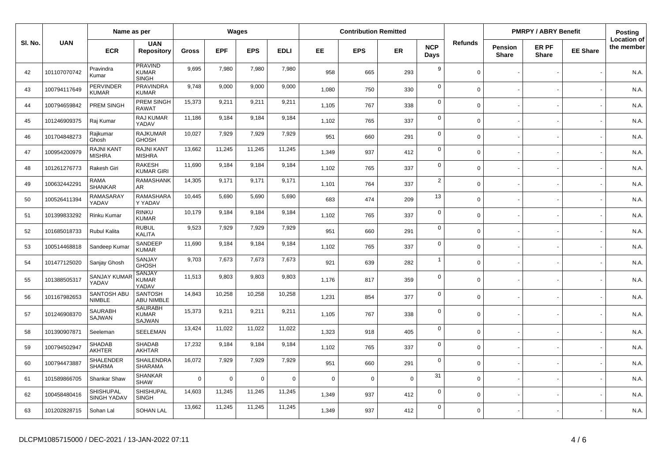|         |              | Name as per                     |                                          | Wages        |            |            |             | <b>Contribution Remitted</b> |             |             |                    |             | <b>PMRPY / ABRY Benefit</b>    | <b>Posting</b>        |                 |                                  |
|---------|--------------|---------------------------------|------------------------------------------|--------------|------------|------------|-------------|------------------------------|-------------|-------------|--------------------|-------------|--------------------------------|-----------------------|-----------------|----------------------------------|
| SI. No. | <b>UAN</b>   | <b>ECR</b>                      | <b>UAN</b><br><b>Repository</b>          | <b>Gross</b> | <b>EPF</b> | <b>EPS</b> | <b>EDLI</b> | EE.                          | <b>EPS</b>  | ER          | <b>NCP</b><br>Days | Refunds     | <b>Pension</b><br><b>Share</b> | ER PF<br><b>Share</b> | <b>EE Share</b> | <b>Location of</b><br>the member |
| 42      | 101107070742 | Pravindra<br>Kumar              | PRAVIND<br>KUMAR<br><b>SINGH</b>         | 9,695        | 7,980      | 7,980      | 7,980       | 958                          | 665         | 293         | 9                  | $\Omega$    |                                |                       |                 | N.A.                             |
| 43      | 100794117649 | <b>PERVINDER</b><br>KUMAR       | <b>PRAVINDRA</b><br><b>KUMAR</b>         | 9,748        | 9,000      | 9,000      | 9,000       | 1,080                        | 750         | 330         | $\mathbf 0$        | $\Omega$    |                                |                       |                 | N.A.                             |
| 44      | 100794659842 | PREM SINGH                      | PREM SINGH<br><b>RAWAT</b>               | 15,373       | 9,211      | 9,211      | 9,211       | 1,105                        | 767         | 338         | $\mathbf 0$        | $\Omega$    |                                |                       |                 | N.A.                             |
| 45      | 101246909375 | Raj Kumar                       | RAJ KUMAR<br>YADAV                       | 11,186       | 9,184      | 9,184      | 9,184       | 1,102                        | 765         | 337         | $\mathbf 0$        | $\mathbf 0$ |                                |                       |                 | N.A.                             |
| 46      | 101704848273 | Rajkumar<br>Ghosh               | <b>RAJKUMAR</b><br><b>GHOSH</b>          | 10,027       | 7,929      | 7,929      | 7,929       | 951                          | 660         | 291         | $\overline{0}$     | $\mathbf 0$ |                                |                       |                 | N.A.                             |
| 47      | 100954200979 | <b>RAJNI KANT</b><br>MISHRA     | RAJNI KANT<br><b>MISHRA</b>              | 13,662       | 11,245     | 11,245     | 11,245      | 1.349                        | 937         | 412         | $\mathbf 0$        | $\Omega$    |                                |                       |                 | N.A.                             |
| 48      | 101261276773 | Rakesh Giri                     | RAKESH<br><b>KUMAR GIRI</b>              | 11,690       | 9,184      | 9,184      | 9,184       | 1,102                        | 765         | 337         | $\mathbf 0$        | $\Omega$    |                                |                       |                 | N.A.                             |
| 49      | 100632442291 | RAMA<br><b>SHANKAR</b>          | <b>RAMASHANK</b><br>AR.                  | 14,305       | 9,171      | 9,171      | 9,171       | 1,101                        | 764         | 337         | $\overline{2}$     | $\Omega$    |                                |                       |                 | N.A.                             |
| 50      | 100526411394 | RAMASARAY<br>YADAV              | RAMASHARA<br>Y YADAV                     | 10,445       | 5,690      | 5,690      | 5,690       | 683                          | 474         | 209         | 13                 | $\mathbf 0$ |                                |                       |                 | N.A.                             |
| 51      | 101399833292 | Rinku Kumar                     | <b>RINKU</b><br><b>KUMAR</b>             | 10,179       | 9,184      | 9,184      | 9,184       | 1,102                        | 765         | 337         | $\overline{0}$     | $\Omega$    |                                |                       |                 | N.A.                             |
| 52      | 101685018733 | Rubul Kalita                    | <b>RUBUL</b><br><b>KALITA</b>            | 9,523        | 7,929      | 7,929      | 7,929       | 951                          | 660         | 291         | $\mathbf 0$        | $\Omega$    |                                |                       |                 | N.A.                             |
| 53      | 100514468818 | Sandeep Kuma                    | SANDEEP<br><b>KUMAR</b>                  | 11,690       | 9,184      | 9,184      | 9,184       | 1,102                        | 765         | 337         | $\mathbf 0$        | $\Omega$    |                                |                       |                 | N.A.                             |
| 54      | 101477125020 | Sanjay Ghosh                    | SANJAY<br><b>GHOSH</b>                   | 9,703        | 7,673      | 7,673      | 7,673       | 921                          | 639         | 282         | $\overline{1}$     | $\mathbf 0$ |                                |                       |                 | N.A.                             |
| 55      | 101388505317 | <b>SANJAY KUMAR</b><br>YADAV    | <b>SANJAY</b><br><b>KUMAR</b><br>YADAV   | 11,513       | 9,803      | 9,803      | 9,803       | 1,176                        | 817         | 359         | $\mathbf 0$        | $\Omega$    |                                |                       |                 | N.A.                             |
| 56      | 101167982653 | SANTOSH ABU<br><b>NIMBLE</b>    | <b>SANTOSH</b><br><b>ABU NIMBLE</b>      | 14,843       | 10,258     | 10,258     | 10,258      | 1,231                        | 854         | 377         | $\mathbf 0$        | $\mathbf 0$ |                                |                       |                 | N.A.                             |
| 57      | 101246908370 | <b>SAURABH</b><br>SAJWAN        | <b>SAURABH</b><br><b>KUMAR</b><br>SAJWAN | 15,373       | 9,211      | 9,211      | 9,211       | 1,105                        | 767         | 338         | $\mathbf 0$        | $\Omega$    |                                |                       |                 | N.A.                             |
| 58      | 101390907871 | Seeleman                        | SEELEMAN                                 | 13,424       | 11,022     | 11,022     | 11,022      | 1,323                        | 918         | 405         | $\mathbf 0$        | $\Omega$    |                                |                       |                 | N.A.                             |
| 59      | 100794502947 | <b>SHADAB</b><br><b>AKHTER</b>  | <b>SHADAB</b><br><b>AKHTAR</b>           | 17,232       | 9,184      | 9,184      | 9,184       | 1,102                        | 765         | 337         | $\mathbf 0$        | $\Omega$    |                                |                       |                 | N.A.                             |
| 60      | 100794473887 | SHALENDER<br><b>SHARMA</b>      | SHAILENDRA<br>SHARAMA                    | 16,072       | 7,929      | 7,929      | 7,929       | 951                          | 660         | 291         | $\mathbf 0$        | $\Omega$    |                                |                       |                 | N.A.                             |
| 61      | 101589866705 | Shankar Shaw                    | <b>SHANKAR</b><br><b>SHAW</b>            | $\mathbf 0$  | 0          | $\Omega$   | 0           | $\Omega$                     | $\mathbf 0$ | $\mathbf 0$ | 31                 | $\mathbf 0$ |                                |                       |                 | N.A.                             |
| 62      | 100458480416 | SHISHUPAL<br><b>SINGH YADAV</b> | <b>SHISHUPAL</b><br><b>SINGH</b>         | 14,603       | 11,245     | 11,245     | 11,245      | 1.349                        | 937         | 412         | $\overline{0}$     | $\Omega$    |                                |                       |                 | N.A.                             |
| 63      | 101202828715 | Sohan Lal                       | <b>SOHAN LAL</b>                         | 13,662       | 11,245     | 11,245     | 11,245      | 1.349                        | 937         | 412         | $\Omega$           | $\Omega$    |                                |                       |                 | N.A.                             |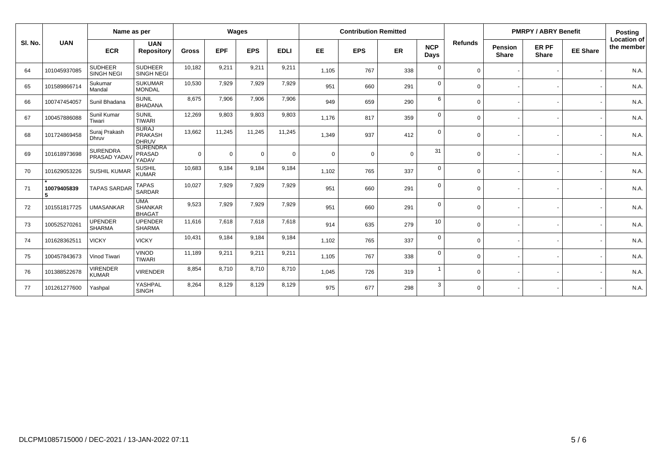|         | Name as per      |                                     |                                                |              |             | Wages          |             |             | <b>Contribution Remitted</b> |          |                    |          | <b>PMRPY / ABRY Benefit</b>    | <b>Posting</b>        |                 |                                  |
|---------|------------------|-------------------------------------|------------------------------------------------|--------------|-------------|----------------|-------------|-------------|------------------------------|----------|--------------------|----------|--------------------------------|-----------------------|-----------------|----------------------------------|
| SI. No. | <b>UAN</b>       | <b>ECR</b>                          | <b>UAN</b><br><b>Repository</b>                | <b>Gross</b> | <b>EPF</b>  | <b>EPS</b>     | <b>EDLI</b> | EE          | <b>EPS</b>                   | ER       | <b>NCP</b><br>Days | Refunds  | <b>Pension</b><br><b>Share</b> | ER PF<br><b>Share</b> | <b>EE Share</b> | <b>Location of</b><br>the member |
| 64      | 101045937085     | <b>SUDHEER</b><br><b>SINGH NEGI</b> | <b>SUDHEER</b><br><b>SINGH NEGI</b>            | 10,182       | 9,211       | 9,211          | 9,211       | 1,105       | 767                          | 338      | $\mathbf 0$        | $\Omega$ |                                |                       |                 | N.A.                             |
| 65      | 101589866714     | Sukumar<br>Mandal                   | <b>SUKUMAR</b><br><b>MONDAL</b>                | 10,530       | 7,929       | 7,929          | 7,929       | 951         | 660                          | 291      | $\mathbf 0$        | $\Omega$ |                                |                       |                 | N.A.                             |
| 66      | 100747454057     | Sunil Bhadana                       | <b>SUNIL</b><br><b>BHADANA</b>                 | 8,675        | 7,906       | 7,906          | 7,906       | 949         | 659                          | 290      | 6                  | $\Omega$ |                                |                       |                 | N.A.                             |
| 67      | 100457886088     | Sunil Kumar<br>Tiwari               | <b>SUNIL</b><br><b>TIWARI</b>                  | 12,269       | 9,803       | 9,803          | 9,803       | 1,176       | 817                          | 359      | $\mathbf{0}$       | $\Omega$ |                                |                       |                 | N.A.                             |
| 68      | 101724869458     | Suraj Prakash<br>Dhruv              | <b>SURAJ</b><br><b>PRAKASH</b><br><b>DHRUV</b> | 13.662       | 11.245      | 11,245         | 11,245      | 1,349       | 937                          | 412      | $\mathbf 0$        | $\Omega$ |                                |                       |                 | N.A.                             |
| 69      | 101618973698     | <b>SURENDRA</b><br>PRASAD YADAV     | <b>SURENDRA</b><br><b>PRASAD</b><br>YADAV      | $\Omega$     | $\mathbf 0$ | $\overline{0}$ | $\mathbf 0$ | $\mathbf 0$ | $\mathbf 0$                  | $\Omega$ | 31                 | $\Omega$ |                                |                       |                 | N.A.                             |
| 70      | 101629053226     | <b>SUSHIL KUMAR</b>                 | <b>SUSHIL</b><br><b>KUMAR</b>                  | 10,683       | 9,184       | 9,184          | 9,184       | 1,102       | 765                          | 337      | $\mathbf 0$        | $\Omega$ |                                |                       |                 | N.A.                             |
| 71      | 10079405839<br>5 | <b>TAPAS SARDAR</b>                 | <b>TAPAS</b><br><b>SARDAR</b>                  | 10.027       | 7,929       | 7,929          | 7,929       | 951         | 660                          | 291      | $\mathbf 0$        | $\Omega$ |                                |                       |                 | N.A.                             |
| 72      | 101551817725     | <b>UMASANKAR</b>                    | <b>UMA</b><br><b>SHANKAR</b><br><b>BHAGAT</b>  | 9,523        | 7,929       | 7,929          | 7,929       | 951         | 660                          | 291      | $\mathbf 0$        | $\Omega$ |                                |                       |                 | N.A.                             |
| 73      | 100525270261     | <b>UPENDER</b><br><b>SHARMA</b>     | <b>UPENDER</b><br><b>SHARMA</b>                | 11,616       | 7,618       | 7,618          | 7,618       | 914         | 635                          | 279      | 10                 | $\Omega$ |                                |                       |                 | N.A.                             |
| 74      | 101628362511     | <b>VICKY</b>                        | <b>VICKY</b>                                   | 10,431       | 9,184       | 9,184          | 9,184       | 1,102       | 765                          | 337      | $\mathbf 0$        | $\Omega$ |                                |                       |                 | N.A.                             |
| 75      | 100457843673     | Vinod Tiwari                        | <b>VINOD</b><br><b>TIWARI</b>                  | 11,189       | 9,211       | 9,211          | 9,211       | 1,105       | 767                          | 338      | $\mathbf 0$        | $\Omega$ | $\overline{\phantom{a}}$       |                       |                 | N.A.                             |
| 76      | 101388522678     | <b>VIRENDER</b><br><b>KUMAR</b>     | <b>VIRENDER</b>                                | 8,854        | 8,710       | 8,710          | 8,710       | 1,045       | 726                          | 319      | $\overline{1}$     | $\Omega$ |                                |                       |                 | N.A.                             |
| 77      | 101261277600     | Yashpal                             | YASHPAL<br><b>SINGH</b>                        | 8,264        | 8,129       | 8,129          | 8,129       | 975         | 677                          | 298      | 3                  | $\Omega$ |                                |                       |                 | N.A.                             |